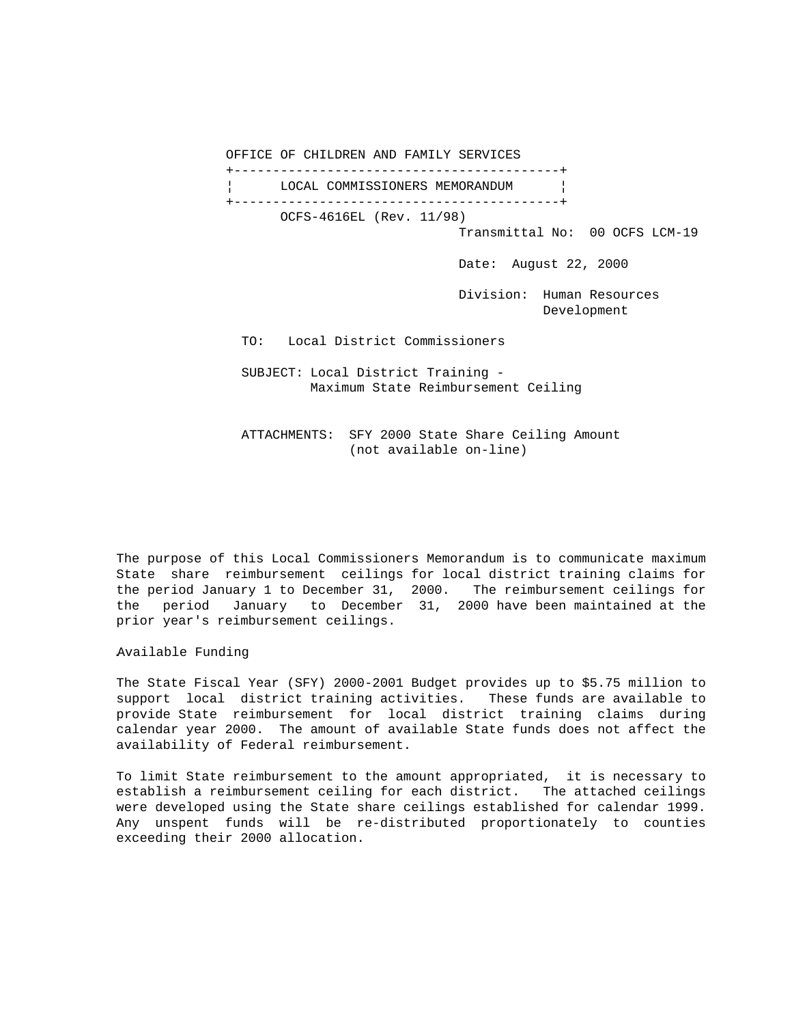OFFICE OF CHILDREN AND FAMILY SERVICES +------------------------------------------+ LOCAL COMMISSIONERS MEMORANDUM | +------------------------------------------+ OCFS-4616EL (Rev. 11/98) Transmittal No: 00 OCFS LCM-19 Date: August 22, 2000 Division: Human Resources Development TO: Local District Commissioners SUBJECT: Local District Training - Maximum State Reimbursement Ceiling

 ATTACHMENTS: SFY 2000 State Share Ceiling Amount (not available on-line)

The purpose of this Local Commissioners Memorandum is to communicate maximum State share reimbursement ceilings for local district training claims for the period January 1 to December 31, 2000. The reimbursement ceilings for the period January to December 31, 2000 have been maintained at the prior year's reimbursement ceilings.

Available Funding

The State Fiscal Year (SFY) 2000-2001 Budget provides up to \$5.75 million to support local district training activities. These funds are available to provide State reimbursement for local district training claims during calendar year 2000. The amount of available State funds does not affect the availability of Federal reimbursement.

To limit State reimbursement to the amount appropriated, it is necessary to establish a reimbursement ceiling for each district. The attached ceilings were developed using the State share ceilings established for calendar 1999. Any unspent funds will be re-distributed proportionately to counties exceeding their 2000 allocation.